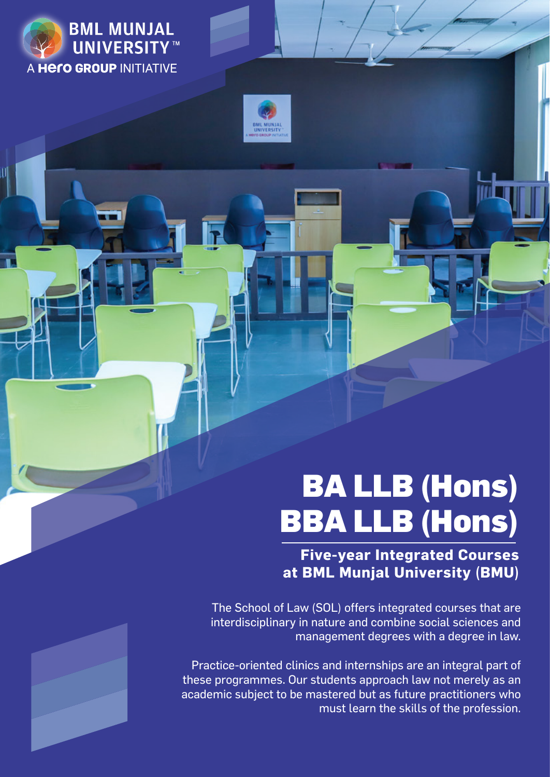



# BA LLB (Hons) BBA LLB (Hons)

**Five-year Integrated Courses at BML Munjal University (BMU)** 

The School of Law (SOL) offers integrated courses that are interdisciplinary in nature and combine social sciences and management degrees with a degree in law.

Practice-oriented clinics and internships are an integral part of these programmes. Our students approach law not merely as an academic subject to be mastered but as future practitioners who must learn the skills of the profession.